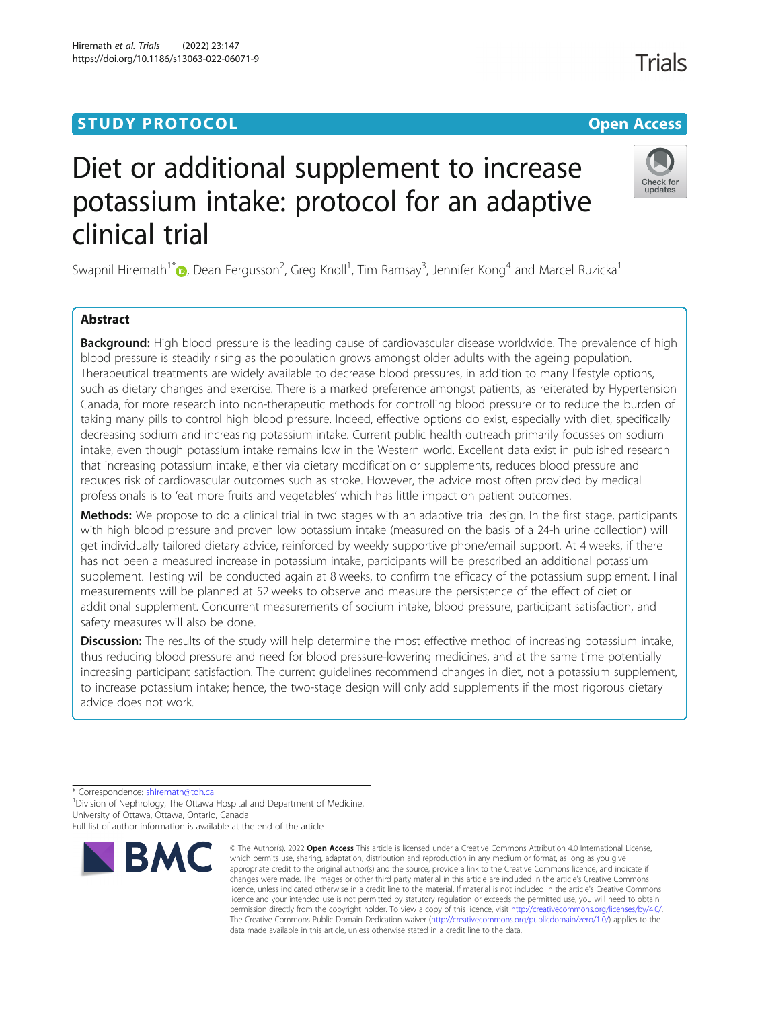# **STUDY PROTOCOL CONSUMING THE CONSUMING OPEN ACCESS**

# Diet or additional supplement to increase potassium intake: protocol for an adaptive clinical trial

Swapnil Hiremath<sup>1\*</sup>�[,](http://orcid.org/0000-0003-0010-3416) Dean Fergusson<sup>2</sup>, Greg Knoll<sup>1</sup>, Tim Ramsay<sup>3</sup>, Jennifer Kong<sup>4</sup> and Marcel Ruzicka<sup>1</sup>

# Abstract

Background: High blood pressure is the leading cause of cardiovascular disease worldwide. The prevalence of high blood pressure is steadily rising as the population grows amongst older adults with the ageing population. Therapeutical treatments are widely available to decrease blood pressures, in addition to many lifestyle options, such as dietary changes and exercise. There is a marked preference amongst patients, as reiterated by Hypertension Canada, for more research into non-therapeutic methods for controlling blood pressure or to reduce the burden of taking many pills to control high blood pressure. Indeed, effective options do exist, especially with diet, specifically decreasing sodium and increasing potassium intake. Current public health outreach primarily focusses on sodium intake, even though potassium intake remains low in the Western world. Excellent data exist in published research that increasing potassium intake, either via dietary modification or supplements, reduces blood pressure and reduces risk of cardiovascular outcomes such as stroke. However, the advice most often provided by medical professionals is to 'eat more fruits and vegetables' which has little impact on patient outcomes.

Methods: We propose to do a clinical trial in two stages with an adaptive trial design. In the first stage, participants with high blood pressure and proven low potassium intake (measured on the basis of a 24-h urine collection) will get individually tailored dietary advice, reinforced by weekly supportive phone/email support. At 4 weeks, if there has not been a measured increase in potassium intake, participants will be prescribed an additional potassium supplement. Testing will be conducted again at 8 weeks, to confirm the efficacy of the potassium supplement. Final measurements will be planned at 52 weeks to observe and measure the persistence of the effect of diet or additional supplement. Concurrent measurements of sodium intake, blood pressure, participant satisfaction, and safety measures will also be done.

**Discussion:** The results of the study will help determine the most effective method of increasing potassium intake, thus reducing blood pressure and need for blood pressure-lowering medicines, and at the same time potentially increasing participant satisfaction. The current guidelines recommend changes in diet, not a potassium supplement, to increase potassium intake; hence, the two-stage design will only add supplements if the most rigorous dietary advice does not work.

\* Correspondence: [shiremath@toh.ca](mailto:shiremath@toh.ca) <sup>1</sup>

<sup>1</sup> Division of Nephrology, The Ottawa Hospital and Department of Medicine, University of Ottawa, Ottawa, Ontario, Canada



<sup>©</sup> The Author(s), 2022 **Open Access** This article is licensed under a Creative Commons Attribution 4.0 International License, which permits use, sharing, adaptation, distribution and reproduction in any medium or format, as long as you give appropriate credit to the original author(s) and the source, provide a link to the Creative Commons licence, and indicate if changes were made. The images or other third party material in this article are included in the article's Creative Commons licence, unless indicated otherwise in a credit line to the material. If material is not included in the article's Creative Commons licence and your intended use is not permitted by statutory regulation or exceeds the permitted use, you will need to obtain permission directly from the copyright holder. To view a copy of this licence, visit [http://creativecommons.org/licenses/by/4.0/.](http://creativecommons.org/licenses/by/4.0/) The Creative Commons Public Domain Dedication waiver [\(http://creativecommons.org/publicdomain/zero/1.0/](http://creativecommons.org/publicdomain/zero/1.0/)) applies to the data made available in this article, unless otherwise stated in a credit line to the data.



Check for undates



Full list of author information is available at the end of the article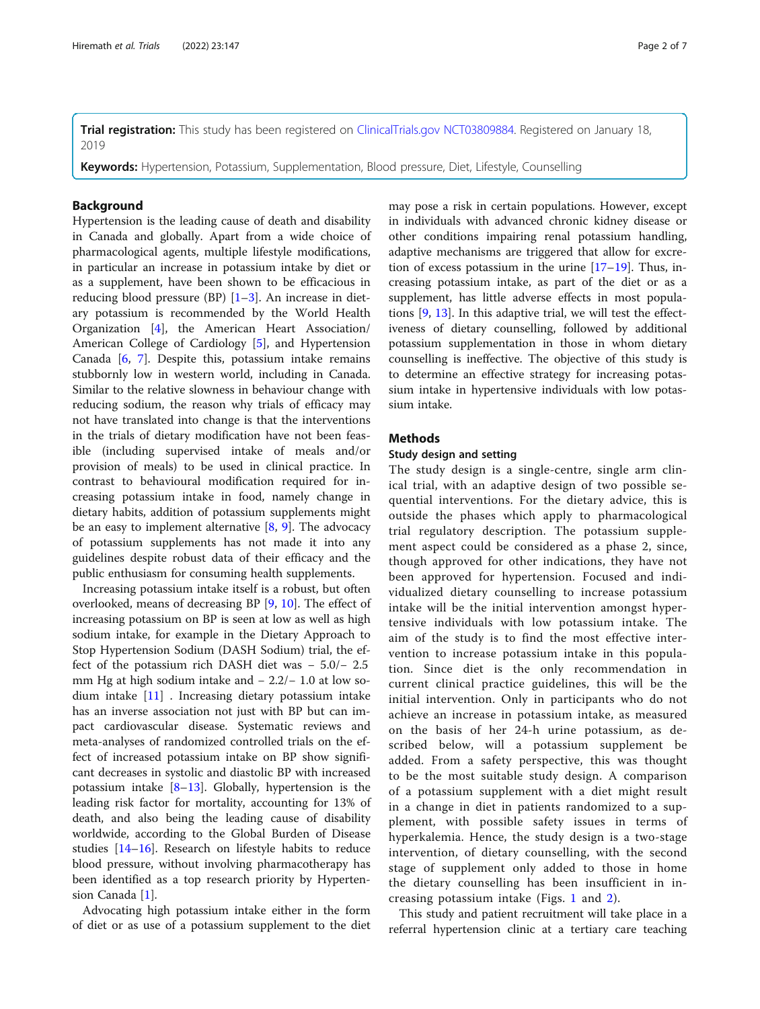Trial registration: This study has been registered on [ClinicalTrials.gov](http://clinicaltrials.gov) [NCT03809884.](https://clinicaltrials.gov/ct2/show/NCT03809884) Registered on January 18, 2019

Keywords: Hypertension, Potassium, Supplementation, Blood pressure, Diet, Lifestyle, Counselling

# **Background**

Hypertension is the leading cause of death and disability in Canada and globally. Apart from a wide choice of pharmacological agents, multiple lifestyle modifications, in particular an increase in potassium intake by diet or as a supplement, have been shown to be efficacious in reducing blood pressure (BP) [[1](#page-6-0)–[3\]](#page-6-0). An increase in dietary potassium is recommended by the World Health Organization [\[4](#page-6-0)], the American Heart Association/ American College of Cardiology [[5\]](#page-6-0), and Hypertension Canada [[6](#page-6-0), [7\]](#page-6-0). Despite this, potassium intake remains stubbornly low in western world, including in Canada. Similar to the relative slowness in behaviour change with reducing sodium, the reason why trials of efficacy may not have translated into change is that the interventions in the trials of dietary modification have not been feasible (including supervised intake of meals and/or provision of meals) to be used in clinical practice. In contrast to behavioural modification required for increasing potassium intake in food, namely change in dietary habits, addition of potassium supplements might be an easy to implement alternative  $[8, 9]$  $[8, 9]$  $[8, 9]$  $[8, 9]$ . The advocacy of potassium supplements has not made it into any guidelines despite robust data of their efficacy and the public enthusiasm for consuming health supplements.

Increasing potassium intake itself is a robust, but often overlooked, means of decreasing BP [\[9](#page-6-0), [10](#page-6-0)]. The effect of increasing potassium on BP is seen at low as well as high sodium intake, for example in the Dietary Approach to Stop Hypertension Sodium (DASH Sodium) trial, the effect of the potassium rich DASH diet was − 5.0/− 2.5 mm Hg at high sodium intake and − 2.2/− 1.0 at low sodium intake [\[11](#page-6-0)] . Increasing dietary potassium intake has an inverse association not just with BP but can impact cardiovascular disease. Systematic reviews and meta-analyses of randomized controlled trials on the effect of increased potassium intake on BP show significant decreases in systolic and diastolic BP with increased potassium intake  $[8-13]$  $[8-13]$  $[8-13]$ . Globally, hypertension is the leading risk factor for mortality, accounting for 13% of death, and also being the leading cause of disability worldwide, according to the Global Burden of Disease studies [[14](#page-6-0)–[16](#page-6-0)]. Research on lifestyle habits to reduce blood pressure, without involving pharmacotherapy has been identified as a top research priority by Hypertension Canada [\[1\]](#page-6-0).

Advocating high potassium intake either in the form of diet or as use of a potassium supplement to the diet may pose a risk in certain populations. However, except in individuals with advanced chronic kidney disease or other conditions impairing renal potassium handling, adaptive mechanisms are triggered that allow for excretion of excess potassium in the urine  $[17–19]$  $[17–19]$  $[17–19]$  $[17–19]$ . Thus, increasing potassium intake, as part of the diet or as a supplement, has little adverse effects in most populations [\[9,](#page-6-0) [13\]](#page-6-0). In this adaptive trial, we will test the effectiveness of dietary counselling, followed by additional potassium supplementation in those in whom dietary counselling is ineffective. The objective of this study is to determine an effective strategy for increasing potassium intake in hypertensive individuals with low potassium intake.

# **Methods**

# Study design and setting

The study design is a single-centre, single arm clinical trial, with an adaptive design of two possible sequential interventions. For the dietary advice, this is outside the phases which apply to pharmacological trial regulatory description. The potassium supplement aspect could be considered as a phase 2, since, though approved for other indications, they have not been approved for hypertension. Focused and individualized dietary counselling to increase potassium intake will be the initial intervention amongst hypertensive individuals with low potassium intake. The aim of the study is to find the most effective intervention to increase potassium intake in this population. Since diet is the only recommendation in current clinical practice guidelines, this will be the initial intervention. Only in participants who do not achieve an increase in potassium intake, as measured on the basis of her 24-h urine potassium, as described below, will a potassium supplement be added. From a safety perspective, this was thought to be the most suitable study design. A comparison of a potassium supplement with a diet might result in a change in diet in patients randomized to a supplement, with possible safety issues in terms of hyperkalemia. Hence, the study design is a two-stage intervention, of dietary counselling, with the second stage of supplement only added to those in home the dietary counselling has been insufficient in increasing potassium intake (Figs. [1](#page-2-0) and [2\)](#page-2-0).

This study and patient recruitment will take place in a referral hypertension clinic at a tertiary care teaching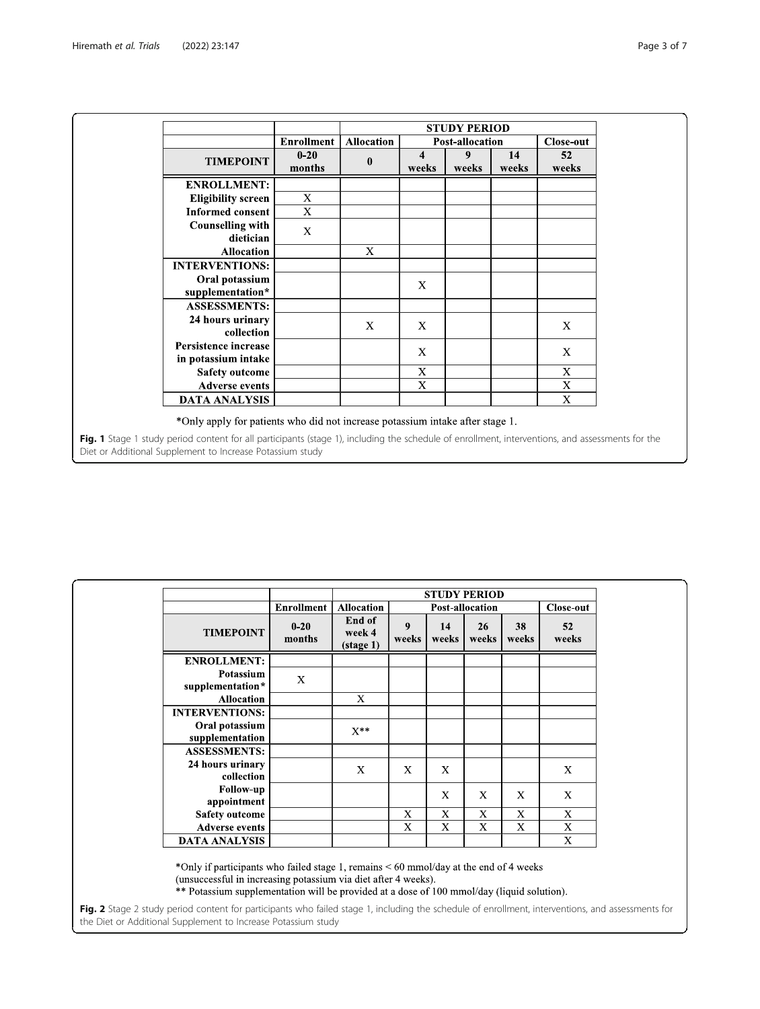<span id="page-2-0"></span>

|                                                                                                                                                                                                                                                                                                |                   | <b>STUDY PERIOD</b> |                           |                        |             |             |  |  |  |  |
|------------------------------------------------------------------------------------------------------------------------------------------------------------------------------------------------------------------------------------------------------------------------------------------------|-------------------|---------------------|---------------------------|------------------------|-------------|-------------|--|--|--|--|
|                                                                                                                                                                                                                                                                                                | <b>Enrollment</b> | <b>Allocation</b>   |                           | <b>Post-allocation</b> | Close-out   |             |  |  |  |  |
| <b>TIMEPOINT</b>                                                                                                                                                                                                                                                                               | $0-20$<br>months  | $\bf{0}$            | 4<br>weeks                | 9<br>weeks             | 14<br>weeks | 52<br>weeks |  |  |  |  |
| <b>ENROLLMENT:</b>                                                                                                                                                                                                                                                                             |                   |                     |                           |                        |             |             |  |  |  |  |
| <b>Eligibility screen</b>                                                                                                                                                                                                                                                                      | X                 |                     |                           |                        |             |             |  |  |  |  |
| <b>Informed consent</b>                                                                                                                                                                                                                                                                        | X                 |                     |                           |                        |             |             |  |  |  |  |
| <b>Counselling with</b><br>dietician                                                                                                                                                                                                                                                           | X                 |                     |                           |                        |             |             |  |  |  |  |
| <b>Allocation</b>                                                                                                                                                                                                                                                                              |                   | X                   |                           |                        |             |             |  |  |  |  |
| <b>INTERVENTIONS:</b>                                                                                                                                                                                                                                                                          |                   |                     |                           |                        |             |             |  |  |  |  |
| Oral potassium<br>supplementation*                                                                                                                                                                                                                                                             |                   |                     | X                         |                        |             |             |  |  |  |  |
| <b>ASSESSMENTS:</b>                                                                                                                                                                                                                                                                            |                   |                     |                           |                        |             |             |  |  |  |  |
| 24 hours urinary<br>collection                                                                                                                                                                                                                                                                 |                   | X                   | X                         |                        |             | X           |  |  |  |  |
| Persistence increase<br>in potassium intake                                                                                                                                                                                                                                                    |                   |                     | X                         |                        |             | X           |  |  |  |  |
| <b>Safety outcome</b>                                                                                                                                                                                                                                                                          |                   |                     | $\boldsymbol{\mathrm{X}}$ |                        |             | $\mathbf X$ |  |  |  |  |
| <b>Adverse events</b>                                                                                                                                                                                                                                                                          |                   |                     | X                         |                        |             | X           |  |  |  |  |
| <b>DATA ANALYSIS</b>                                                                                                                                                                                                                                                                           |                   |                     |                           |                        |             | X           |  |  |  |  |
| *Only apply for patients who did not increase potassium intake after stage 1.<br>Fig. 1 Stage 1 study period content for all participants (stage 1), including the schedule of enrollment, interventions, and assessments for the<br>Diet or Additional Supplement to Increase Potassium study |                   |                     |                           |                        |             |             |  |  |  |  |

|                                   |                           | <b>STUDY PERIOD</b>                     |                              |             |              |              |              |  |  |  |
|-----------------------------------|---------------------------|-----------------------------------------|------------------------------|-------------|--------------|--------------|--------------|--|--|--|
|                                   | <b>Enrollment</b>         | <b>Allocation</b>                       | Post-allocation<br>Close-out |             |              |              |              |  |  |  |
| <b>TIMEPOINT</b>                  | $0 - 20$<br>months        | End of<br>week 4<br>$(\text{stage } 1)$ | 9<br>weeks                   | 14<br>weeks | 26<br>weeks  | 38<br>weeks  | 52<br>weeks  |  |  |  |
| <b>ENROLLMENT:</b>                |                           |                                         |                              |             |              |              |              |  |  |  |
| Potassium<br>supplementation*     | $\boldsymbol{\mathrm{X}}$ |                                         |                              |             |              |              |              |  |  |  |
| <b>Allocation</b>                 |                           | $\mathbf{x}$                            |                              |             |              |              |              |  |  |  |
| <b>INTERVENTIONS:</b>             |                           |                                         |                              |             |              |              |              |  |  |  |
| Oral potassium<br>supplementation |                           | $X^{**}$                                |                              |             |              |              |              |  |  |  |
| <b>ASSESSMENTS:</b>               |                           |                                         |                              |             |              |              |              |  |  |  |
| 24 hours urinary<br>collection    |                           | X                                       | X                            | X           |              |              | $\mathbf{X}$ |  |  |  |
| <b>Follow-up</b><br>appointment   |                           |                                         |                              | X           | $\mathbf{X}$ | $\mathbf{X}$ | X            |  |  |  |
| <b>Safety outcome</b>             |                           |                                         | X                            | X           | X            | X            | X            |  |  |  |
| <b>Adverse events</b>             |                           |                                         | X                            | X           | X            | X            | X            |  |  |  |
| <b>DATA ANALYSIS</b>              |                           |                                         |                              |             |              |              | X            |  |  |  |

\*Only if participants who failed stage 1, remains < 60 mmol/day at the end of 4 weeks (unsuccessful in increasing potassium via diet after 4 weeks).

\*\* Potassium supplementation will be provided at a dose of 100 mmol/day (liquid solution).

Fig. 2 Stage 2 study period content for participants who failed stage 1, including the schedule of enrollment, interventions, and assessments for the Diet or Additional Supplement to Increase Potassium study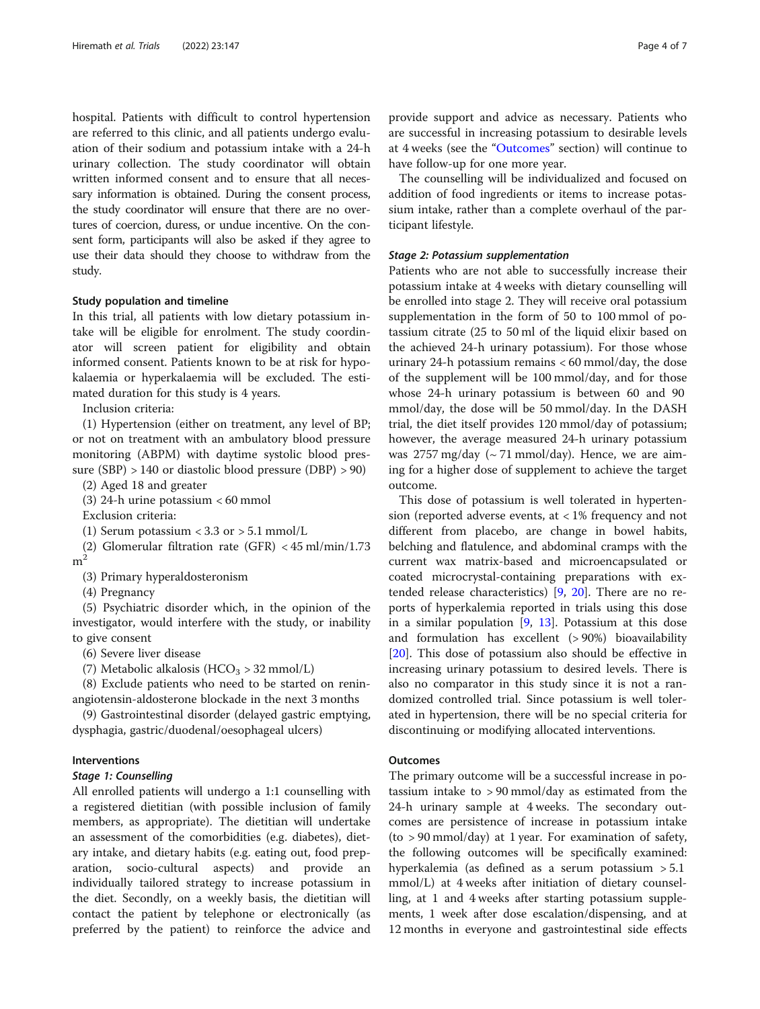hospital. Patients with difficult to control hypertension are referred to this clinic, and all patients undergo evaluation of their sodium and potassium intake with a 24-h urinary collection. The study coordinator will obtain written informed consent and to ensure that all necessary information is obtained. During the consent process, the study coordinator will ensure that there are no overtures of coercion, duress, or undue incentive. On the consent form, participants will also be asked if they agree to use their data should they choose to withdraw from the study.

#### Study population and timeline

In this trial, all patients with low dietary potassium intake will be eligible for enrolment. The study coordinator will screen patient for eligibility and obtain informed consent. Patients known to be at risk for hypokalaemia or hyperkalaemia will be excluded. The estimated duration for this study is 4 years.

Inclusion criteria:

(1) Hypertension (either on treatment, any level of BP; or not on treatment with an ambulatory blood pressure monitoring (ABPM) with daytime systolic blood pressure (SBP) > 140 or diastolic blood pressure (DBP) > 90)

(2) Aged 18 and greater

(3) 24-h urine potassium < 60 mmol

Exclusion criteria:

(1) Serum potassium <  $3.3$  or  $> 5.1$  mmol/L

(2) Glomerular filtration rate (GFR) < 45 ml/min/1.73  $m<sup>2</sup>$ 

(3) Primary hyperaldosteronism

(4) Pregnancy

(5) Psychiatric disorder which, in the opinion of the investigator, would interfere with the study, or inability to give consent

(6) Severe liver disease

(7) Metabolic alkalosis (HCO<sub>3</sub> > 32 mmol/L)

(8) Exclude patients who need to be started on reninangiotensin-aldosterone blockade in the next 3 months

(9) Gastrointestinal disorder (delayed gastric emptying, dysphagia, gastric/duodenal/oesophageal ulcers)

# Interventions

#### Stage 1: Counselling

All enrolled patients will undergo a 1:1 counselling with a registered dietitian (with possible inclusion of family members, as appropriate). The dietitian will undertake an assessment of the comorbidities (e.g. diabetes), dietary intake, and dietary habits (e.g. eating out, food preparation, socio-cultural aspects) and provide an individually tailored strategy to increase potassium in the diet. Secondly, on a weekly basis, the dietitian will contact the patient by telephone or electronically (as preferred by the patient) to reinforce the advice and

provide support and advice as necessary. Patients who are successful in increasing potassium to desirable levels at 4 weeks (see the "Outcomes" section) will continue to have follow-up for one more year.

The counselling will be individualized and focused on addition of food ingredients or items to increase potassium intake, rather than a complete overhaul of the participant lifestyle.

# Stage 2: Potassium supplementation

Patients who are not able to successfully increase their potassium intake at 4 weeks with dietary counselling will be enrolled into stage 2. They will receive oral potassium supplementation in the form of 50 to 100 mmol of potassium citrate (25 to 50 ml of the liquid elixir based on the achieved 24-h urinary potassium). For those whose urinary 24-h potassium remains < 60 mmol/day, the dose of the supplement will be 100 mmol/day, and for those whose 24-h urinary potassium is between 60 and 90 mmol/day, the dose will be 50 mmol/day. In the DASH trial, the diet itself provides 120 mmol/day of potassium; however, the average measured 24-h urinary potassium was 2757 mg/day  $({\sim} 71 \text{ mmol/day})$ . Hence, we are aiming for a higher dose of supplement to achieve the target outcome.

This dose of potassium is well tolerated in hypertension (reported adverse events, at  $<$  1% frequency and not different from placebo, are change in bowel habits, belching and flatulence, and abdominal cramps with the current wax matrix-based and microencapsulated or coated microcrystal-containing preparations with extended release characteristics) [[9,](#page-6-0) [20\]](#page-6-0). There are no reports of hyperkalemia reported in trials using this dose in a similar population  $[9, 13]$  $[9, 13]$  $[9, 13]$  $[9, 13]$  $[9, 13]$ . Potassium at this dose and formulation has excellent (> 90%) bioavailability [[20\]](#page-6-0). This dose of potassium also should be effective in increasing urinary potassium to desired levels. There is also no comparator in this study since it is not a randomized controlled trial. Since potassium is well tolerated in hypertension, there will be no special criteria for discontinuing or modifying allocated interventions.

# **Outcomes**

The primary outcome will be a successful increase in potassium intake to > 90 mmol/day as estimated from the 24-h urinary sample at 4 weeks. The secondary outcomes are persistence of increase in potassium intake (to > 90 mmol/day) at 1 year. For examination of safety, the following outcomes will be specifically examined: hyperkalemia (as defined as a serum potassium > 5.1 mmol/L) at 4 weeks after initiation of dietary counselling, at 1 and 4 weeks after starting potassium supplements, 1 week after dose escalation/dispensing, and at 12 months in everyone and gastrointestinal side effects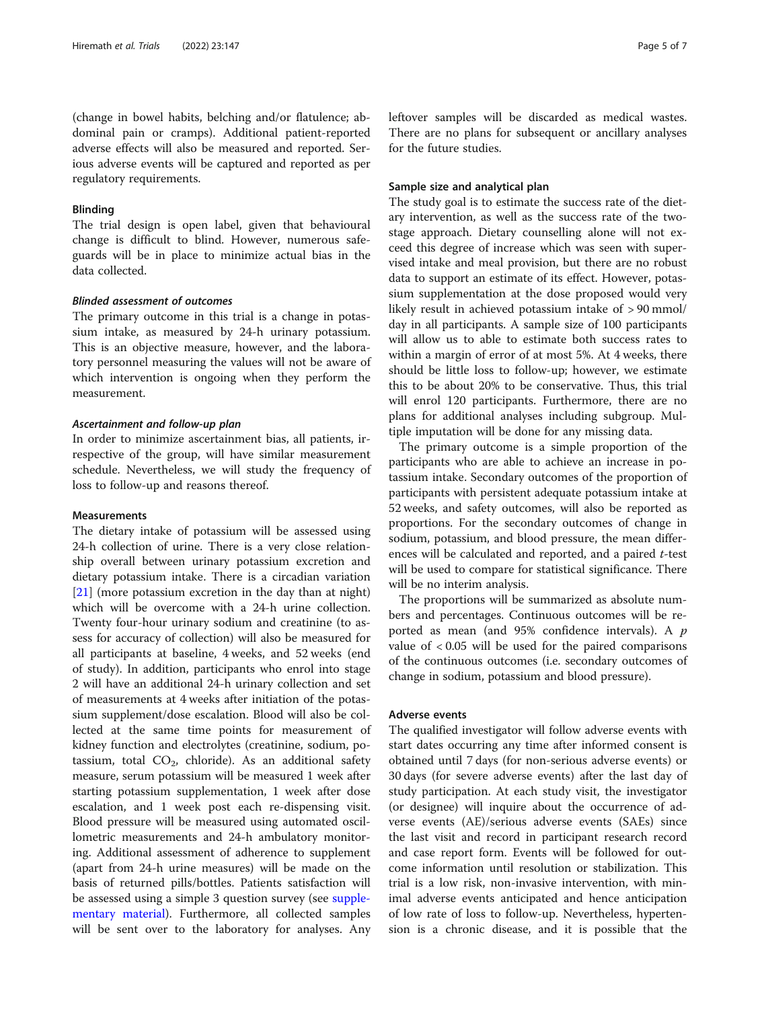(change in bowel habits, belching and/or flatulence; abdominal pain or cramps). Additional patient-reported adverse effects will also be measured and reported. Serious adverse events will be captured and reported as per regulatory requirements.

# Blinding

The trial design is open label, given that behavioural change is difficult to blind. However, numerous safeguards will be in place to minimize actual bias in the data collected.

# Blinded assessment of outcomes

The primary outcome in this trial is a change in potassium intake, as measured by 24-h urinary potassium. This is an objective measure, however, and the laboratory personnel measuring the values will not be aware of which intervention is ongoing when they perform the measurement.

# Ascertainment and follow-up plan

In order to minimize ascertainment bias, all patients, irrespective of the group, will have similar measurement schedule. Nevertheless, we will study the frequency of loss to follow-up and reasons thereof.

# Measurements

The dietary intake of potassium will be assessed using 24-h collection of urine. There is a very close relationship overall between urinary potassium excretion and dietary potassium intake. There is a circadian variation [[21\]](#page-6-0) (more potassium excretion in the day than at night) which will be overcome with a 24-h urine collection. Twenty four-hour urinary sodium and creatinine (to assess for accuracy of collection) will also be measured for all participants at baseline, 4 weeks, and 52 weeks (end of study). In addition, participants who enrol into stage 2 will have an additional 24-h urinary collection and set of measurements at 4 weeks after initiation of the potassium supplement/dose escalation. Blood will also be collected at the same time points for measurement of kidney function and electrolytes (creatinine, sodium, potassium, total  $CO<sub>2</sub>$ , chloride). As an additional safety measure, serum potassium will be measured 1 week after starting potassium supplementation, 1 week after dose escalation, and 1 week post each re-dispensing visit. Blood pressure will be measured using automated oscillometric measurements and 24-h ambulatory monitoring. Additional assessment of adherence to supplement (apart from 24-h urine measures) will be made on the basis of returned pills/bottles. Patients satisfaction will be assessed using a simple 3 question survey (see [supple](#page-5-0)[mentary material\)](#page-5-0). Furthermore, all collected samples will be sent over to the laboratory for analyses. Any leftover samples will be discarded as medical wastes. There are no plans for subsequent or ancillary analyses for the future studies.

# Sample size and analytical plan

The study goal is to estimate the success rate of the dietary intervention, as well as the success rate of the twostage approach. Dietary counselling alone will not exceed this degree of increase which was seen with supervised intake and meal provision, but there are no robust data to support an estimate of its effect. However, potassium supplementation at the dose proposed would very likely result in achieved potassium intake of > 90 mmol/ day in all participants. A sample size of 100 participants will allow us to able to estimate both success rates to within a margin of error of at most 5%. At 4 weeks, there should be little loss to follow-up; however, we estimate this to be about 20% to be conservative. Thus, this trial will enrol 120 participants. Furthermore, there are no plans for additional analyses including subgroup. Multiple imputation will be done for any missing data.

The primary outcome is a simple proportion of the participants who are able to achieve an increase in potassium intake. Secondary outcomes of the proportion of participants with persistent adequate potassium intake at 52 weeks, and safety outcomes, will also be reported as proportions. For the secondary outcomes of change in sodium, potassium, and blood pressure, the mean differences will be calculated and reported, and a paired t-test will be used to compare for statistical significance. There will be no interim analysis.

The proportions will be summarized as absolute numbers and percentages. Continuous outcomes will be reported as mean (and 95% confidence intervals). A p value of < 0.05 will be used for the paired comparisons of the continuous outcomes (i.e. secondary outcomes of change in sodium, potassium and blood pressure).

# Adverse events

The qualified investigator will follow adverse events with start dates occurring any time after informed consent is obtained until 7 days (for non-serious adverse events) or 30 days (for severe adverse events) after the last day of study participation. At each study visit, the investigator (or designee) will inquire about the occurrence of adverse events (AE)/serious adverse events (SAEs) since the last visit and record in participant research record and case report form. Events will be followed for outcome information until resolution or stabilization. This trial is a low risk, non-invasive intervention, with minimal adverse events anticipated and hence anticipation of low rate of loss to follow-up. Nevertheless, hypertension is a chronic disease, and it is possible that the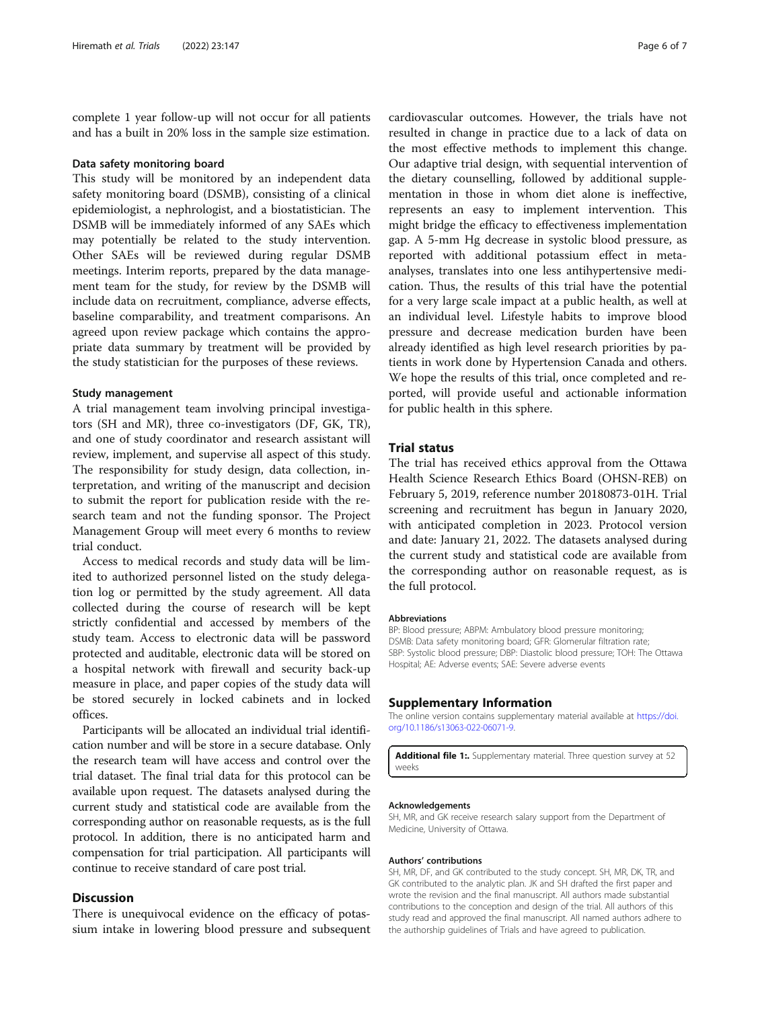<span id="page-5-0"></span>complete 1 year follow-up will not occur for all patients and has a built in 20% loss in the sample size estimation.

#### Data safety monitoring board

This study will be monitored by an independent data safety monitoring board (DSMB), consisting of a clinical epidemiologist, a nephrologist, and a biostatistician. The DSMB will be immediately informed of any SAEs which may potentially be related to the study intervention. Other SAEs will be reviewed during regular DSMB meetings. Interim reports, prepared by the data management team for the study, for review by the DSMB will include data on recruitment, compliance, adverse effects, baseline comparability, and treatment comparisons. An agreed upon review package which contains the appropriate data summary by treatment will be provided by the study statistician for the purposes of these reviews.

#### Study management

A trial management team involving principal investigators (SH and MR), three co-investigators (DF, GK, TR), and one of study coordinator and research assistant will review, implement, and supervise all aspect of this study. The responsibility for study design, data collection, interpretation, and writing of the manuscript and decision to submit the report for publication reside with the research team and not the funding sponsor. The Project Management Group will meet every 6 months to review trial conduct.

Access to medical records and study data will be limited to authorized personnel listed on the study delegation log or permitted by the study agreement. All data collected during the course of research will be kept strictly confidential and accessed by members of the study team. Access to electronic data will be password protected and auditable, electronic data will be stored on a hospital network with firewall and security back-up measure in place, and paper copies of the study data will be stored securely in locked cabinets and in locked offices.

Participants will be allocated an individual trial identification number and will be store in a secure database. Only the research team will have access and control over the trial dataset. The final trial data for this protocol can be available upon request. The datasets analysed during the current study and statistical code are available from the corresponding author on reasonable requests, as is the full protocol. In addition, there is no anticipated harm and compensation for trial participation. All participants will continue to receive standard of care post trial.

# **Discussion**

There is unequivocal evidence on the efficacy of potassium intake in lowering blood pressure and subsequent

cardiovascular outcomes. However, the trials have not resulted in change in practice due to a lack of data on the most effective methods to implement this change. Our adaptive trial design, with sequential intervention of the dietary counselling, followed by additional supplementation in those in whom diet alone is ineffective, represents an easy to implement intervention. This might bridge the efficacy to effectiveness implementation gap. A 5-mm Hg decrease in systolic blood pressure, as reported with additional potassium effect in metaanalyses, translates into one less antihypertensive medication. Thus, the results of this trial have the potential for a very large scale impact at a public health, as well at an individual level. Lifestyle habits to improve blood pressure and decrease medication burden have been already identified as high level research priorities by patients in work done by Hypertension Canada and others. We hope the results of this trial, once completed and reported, will provide useful and actionable information for public health in this sphere.

# Trial status

The trial has received ethics approval from the Ottawa Health Science Research Ethics Board (OHSN-REB) on February 5, 2019, reference number 20180873-01H. Trial screening and recruitment has begun in January 2020, with anticipated completion in 2023. Protocol version and date: January 21, 2022. The datasets analysed during the current study and statistical code are available from the corresponding author on reasonable request, as is the full protocol.

#### Abbreviations

BP: Blood pressure; ABPM: Ambulatory blood pressure monitoring; DSMB: Data safety monitoring board; GFR: Glomerular filtration rate; SBP: Systolic blood pressure; DBP: Diastolic blood pressure; TOH: The Ottawa Hospital; AE: Adverse events; SAE: Severe adverse events

#### Supplementary Information

The online version contains supplementary material available at [https://doi.](https://doi.org/10.1186/s13063-022-06071-9) [org/10.1186/s13063-022-06071-9.](https://doi.org/10.1186/s13063-022-06071-9)

Additional file 1: Supplementary material. Three question survey at 52 weeks

#### Acknowledgements

SH, MR, and GK receive research salary support from the Department of Medicine, University of Ottawa.

#### Authors' contributions

SH, MR, DF, and GK contributed to the study concept. SH, MR, DK, TR, and GK contributed to the analytic plan. JK and SH drafted the first paper and wrote the revision and the final manuscript. All authors made substantial contributions to the conception and design of the trial. All authors of this study read and approved the final manuscript. All named authors adhere to the authorship guidelines of Trials and have agreed to publication.